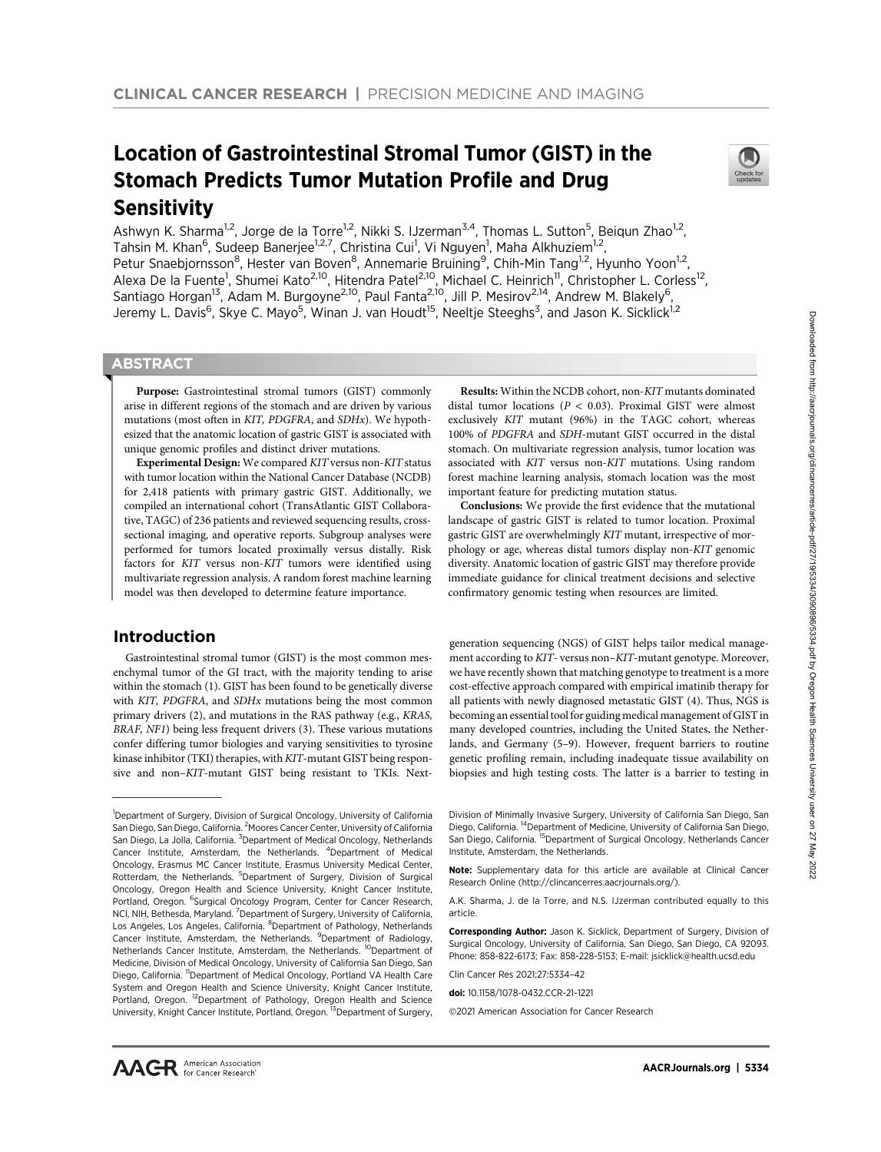# Location of Gastrointestinal Stromal Tumor (GIST) in the Stomach Predicts Tumor Mutation Profile and Drug **Sensitivity**



Ashwyn K. Sharma<sup>1,2</sup>, Jorge de la Torre<sup>1,2</sup>, Nikki S. IJzerman<sup>3,4</sup>, Thomas L. Sutton<sup>5</sup>, Beiqun Zhao<sup>1,2</sup>, Tahsin M. Khan<sup>6</sup>, Sudeep Banerjee<sup>1,2,7</sup>, Christina Cui<sup>1</sup>, Vi Nguyen<sup>1</sup>, Maha Alkhuziem<sup>1,2</sup>, Petur Snaebjornsson<sup>8</sup>, Hester van Boven<sup>8</sup>, Annemarie Bruining<sup>9</sup>, Chih-Min Tang<sup>1,2</sup>, Hyunho Yoon<sup>1,2</sup>, Alexa De la Fuente<sup>1</sup>, Shumei Kato<sup>2,10</sup>, Hitendra Patel<sup>2,10</sup>, Michael C. Heinrich<sup>11</sup>, Christopher L. Corless<sup>12</sup>, Santiago Horgan<sup>13</sup>, Adam M. Burgoyne<sup>2,10</sup>, Paul Fanta<sup>2,10</sup>, Jill P. Mesirov<sup>2,14</sup>, Andrew M. Blakely<sup>6</sup>, Jeremy L. Davis<sup>6</sup>, Skye C. Mayo<sup>5</sup>, Winan J. van Houdt<sup>15</sup>, Neeltje Steeghs<sup>3</sup>, and Jason K. Sicklick<sup>1,2</sup>

# **ABSTRACT**

◥

Purpose: Gastrointestinal stromal tumors (GIST) commonly arise in different regions of the stomach and are driven by various mutations (most often in KIT, PDGFRA, and SDHx). We hypothesized that the anatomic location of gastric GIST is associated with unique genomic profiles and distinct driver mutations.

Experimental Design: We compared KIT versus non-KIT status with tumor location within the National Cancer Database (NCDB) for 2,418 patients with primary gastric GIST. Additionally, we compiled an international cohort (TransAtlantic GIST Collaborative, TAGC) of 236 patients and reviewed sequencing results, crosssectional imaging, and operative reports. Subgroup analyses were performed for tumors located proximally versus distally. Risk factors for KIT versus non-KIT tumors were identified using multivariate regression analysis. A random forest machine learning model was then developed to determine feature importance.

# Introduction

Gastrointestinal stromal tumor (GIST) is the most common mesenchymal tumor of the GI tract, with the majority tending to arise within the stomach (1). GIST has been found to be genetically diverse with KIT, PDGFRA, and SDHx mutations being the most common primary drivers (2), and mutations in the RAS pathway (e.g., KRAS, BRAF, NF1) being less frequent drivers (3). These various mutations confer differing tumor biologies and varying sensitivities to tyrosine kinase inhibitor (TKI) therapies, with KIT-mutant GIST being responsive and non–KIT-mutant GIST being resistant to TKIs. Next-

Results: Within the NCDB cohort, non-KIT mutants dominated distal tumor locations ( $P < 0.03$ ). Proximal GIST were almost exclusively KIT mutant (96%) in the TAGC cohort, whereas 100% of PDGFRA and SDH-mutant GIST occurred in the distal stomach. On multivariate regression analysis, tumor location was associated with KIT versus non-KIT mutations. Using random forest machine learning analysis, stomach location was the most important feature for predicting mutation status.

Conclusions: We provide the first evidence that the mutational landscape of gastric GIST is related to tumor location. Proximal gastric GIST are overwhelmingly KIT mutant, irrespective of morphology or age, whereas distal tumors display non-KIT genomic diversity. Anatomic location of gastric GIST may therefore provide immediate guidance for clinical treatment decisions and selective confirmatory genomic testing when resources are limited.

generation sequencing (NGS) of GIST helps tailor medical management according to KIT- versus non–KIT-mutant genotype. Moreover, we have recently shown that matching genotype to treatment is a more cost-effective approach compared with empirical imatinib therapy for all patients with newly diagnosed metastatic GIST (4). Thus, NGS is becoming an essential tool for guiding medical management of GIST in many developed countries, including the United States, the Netherlands, and Germany (5–9). However, frequent barriers to routine genetic profiling remain, including inadequate tissue availability on biopsies and high testing costs. The latter is a barrier to testing in

Division of Minimally Invasive Surgery, University of California San Diego, San Diego, California. 14Department of Medicine, University of California San Diego, San Diego, California. <sup>15</sup>Department of Surgical Oncology, Netherlands Cancer Institute, Amsterdam, the Netherlands.

Note: Supplementary data for this article are available at Clinical Cancer Research Online (http://clincancerres.aacrjournals.org/).

A.K. Sharma, J. de la Torre, and N.S. IJzerman contributed equally to this article.

Corresponding Author: Jason K. Sicklick, Department of Surgery, Division of Surgical Oncology, University of California, San Diego, San Diego, CA 92093. Phone: 858-822-6173; Fax: 858-228-5153; E-mail: jsicklick@health.ucsd.edu

Clin Cancer Res 2021;27:5334–42

<sup>&</sup>lt;sup>1</sup>Department of Surgery, Division of Surgical Oncology, University of California San Diego, San Diego, California. <sup>2</sup> Moores Cancer Center, University of California San Diego, La Jolla, California. <sup>3</sup>Department of Medical Oncology, Netherlands Cancer Institute, Amsterdam, the Netherlands. <sup>4</sup>Department of Medical Oncology, Erasmus MC Cancer Institute, Erasmus University Medical Center, Rotterdam, the Netherlands. <sup>5</sup>Department of Surgery, Division of Surgical Oncology, Oregon Health and Science University, Knight Cancer Institute, Portland, Oregon. <sup>6</sup>Surgical Oncology Program, Center for Cancer Research, NCI, NIH, Bethesda, Maryland. <sup>7</sup> Department of Surgery, University of California, Los Angeles, Los Angeles, California. <sup>8</sup>Department of Pathology, Netherlands Cancer Institute, Amsterdam, the Netherlands. <sup>9</sup>Department of Radiology, Netherlands Cancer Institute, Amsterdam, the Netherlands. <sup>10</sup>Department of Medicine, Division of Medical Oncology, University of California San Diego, San Diego, California. <sup>11</sup>Department of Medical Oncology, Portland VA Health Care System and Oregon Health and Science University, Knight Cancer Institute, Portland, Oregon. <sup>12</sup>Department of Pathology, Oregon Health and Science University, Knight Cancer Institute, Portland, Oregon. <sup>13</sup>Department of Surgery,

doi: 10.1158/1078-0432.CCR-21-1221

<sup>-</sup>2021 American Association for Cancer Research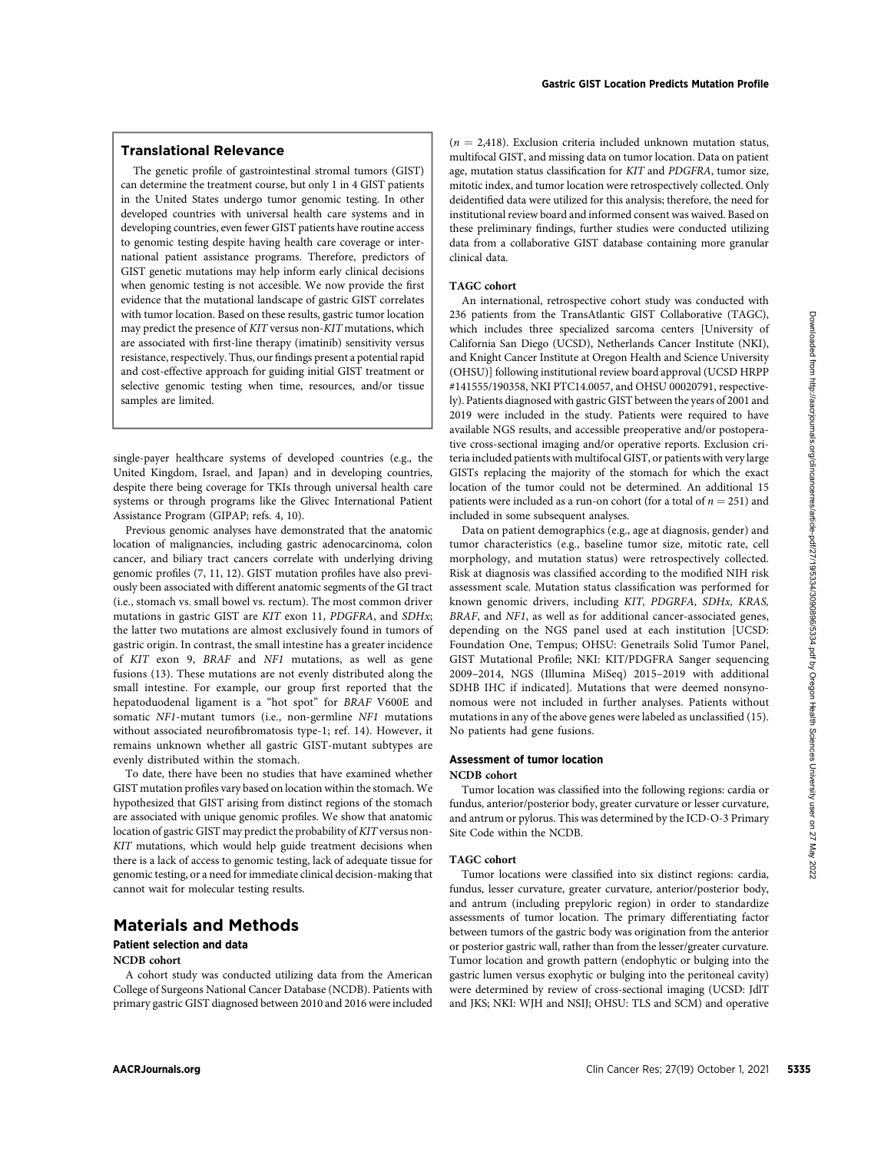## Translational Relevance

The genetic profile of gastrointestinal stromal tumors (GIST) can determine the treatment course, but only 1 in 4 GIST patients in the United States undergo tumor genomic testing. In other developed countries with universal health care systems and in developing countries, even fewer GIST patients have routine access to genomic testing despite having health care coverage or international patient assistance programs. Therefore, predictors of GIST genetic mutations may help inform early clinical decisions when genomic testing is not accesible. We now provide the first evidence that the mutational landscape of gastric GIST correlates with tumor location. Based on these results, gastric tumor location may predict the presence of KIT versus non-KIT mutations, which are associated with first-line therapy (imatinib) sensitivity versus resistance, respectively. Thus, our findings present a potential rapid and cost-effective approach for guiding initial GIST treatment or selective genomic testing when time, resources, and/or tissue samples are limited.

single-payer healthcare systems of developed countries (e.g., the United Kingdom, Israel, and Japan) and in developing countries, despite there being coverage for TKIs through universal health care systems or through programs like the Glivec International Patient Assistance Program (GIPAP; refs. 4, 10).

Previous genomic analyses have demonstrated that the anatomic location of malignancies, including gastric adenocarcinoma, colon cancer, and biliary tract cancers correlate with underlying driving genomic profiles (7, 11, 12). GIST mutation profiles have also previously been associated with different anatomic segments of the GI tract (i.e., stomach vs. small bowel vs. rectum). The most common driver mutations in gastric GIST are KIT exon 11, PDGFRA, and SDHx; the latter two mutations are almost exclusively found in tumors of gastric origin. In contrast, the small intestine has a greater incidence of KIT exon 9, BRAF and NF1 mutations, as well as gene fusions (13). These mutations are not evenly distributed along the small intestine. For example, our group first reported that the hepatoduodenal ligament is a "hot spot" for BRAF V600E and somatic NF1-mutant tumors (i.e., non-germline NF1 mutations without associated neurofibromatosis type-1; ref. 14). However, it remains unknown whether all gastric GIST-mutant subtypes are evenly distributed within the stomach. We assume that the metallic clinical set of the state of the state of the state of the state of the state of the state of the state of the state of the state of the state of the state of the state of the state of the stat

To date, there have been no studies that have examined whether GIST mutation profiles vary based on location within the stomach. We hypothesized that GIST arising from distinct regions of the stomach are associated with unique genomic profiles. We show that anatomic location of gastric GIST may predict the probability of KIT versus non-KIT mutations, which would help guide treatment decisions when there is a lack of access to genomic testing, lack of adequate tissue for genomic testing, or a need for immediate clinical decision-making that cannot wait for molecular testing results.

# Materials and Methods

## Patient selection and data

## NCDB cohort

A cohort study was conducted utilizing data from the American College of Surgeons National Cancer Database (NCDB). Patients with primary gastric GIST diagnosed between 2010 and 2016 were included  $(n = 2,418)$ . Exclusion criteria included unknown mutation status, multifocal GIST, and missing data on tumor location. Data on patient age, mutation status classification for KIT and PDGFRA, tumor size, mitotic index, and tumor location were retrospectively collected. Only deidentified data were utilized for this analysis; therefore, the need for institutional review board and informed consent was waived. Based on these preliminary findings, further studies were conducted utilizing data from a collaborative GIST database containing more granular clinical data.

#### TAGC cohort

An international, retrospective cohort study was conducted with 236 patients from the TransAtlantic GIST Collaborative (TAGC), which includes three specialized sarcoma centers [University of California San Diego (UCSD), Netherlands Cancer Institute (NKI), and Knight Cancer Institute at Oregon Health and Science University (OHSU)] following institutional review board approval (UCSD HRPP #141555/190358, NKI PTC14.0057, and OHSU 00020791, respectively). Patients diagnosed with gastric GIST between the years of 2001 and 2019 were included in the study. Patients were required to have available NGS results, and accessible preoperative and/or postoperative cross-sectional imaging and/or operative reports. Exclusion criteria included patients with multifocal GIST, or patients with very large GISTs replacing the majority of the stomach for which the exact location of the tumor could not be determined. An additional 15 patients were included as a run-on cohort (for a total of  $n = 251$ ) and included in some subsequent analyses.

Data on patient demographics (e.g., age at diagnosis, gender) and tumor characteristics (e.g., baseline tumor size, mitotic rate, cell morphology, and mutation status) were retrospectively collected. Risk at diagnosis was classified according to the modified NIH risk assessment scale. Mutation status classification was performed for known genomic drivers, including KIT, PDGRFA, SDHx, KRAS, BRAF, and NF1, as well as for additional cancer-associated genes, depending on the NGS panel used at each institution [UCSD: Foundation One, Tempus; OHSU: Genetrails Solid Tumor Panel, GIST Mutational Profile; NKI: KIT/PDGFRA Sanger sequencing 2009–2014, NGS (Illumina MiSeq) 2015–2019 with additional SDHB IHC if indicated]. Mutations that were deemed nonsynonomous were not included in further analyses. Patients without mutations in any of the above genes were labeled as unclassified (15). No patients had gene fusions.

## Assessment of tumor location NCDB cohort

Tumor location was classified into the following regions: cardia or fundus, anterior/posterior body, greater curvature or lesser curvature, and antrum or pylorus. This was determined by the ICD-O-3 Primary Site Code within the NCDB.

## TAGC cohort

Tumor locations were classified into six distinct regions: cardia, fundus, lesser curvature, greater curvature, anterior/posterior body, and antrum (including prepyloric region) in order to standardize assessments of tumor location. The primary differentiating factor between tumors of the gastric body was origination from the anterior or posterior gastric wall, rather than from the lesser/greater curvature. Tumor location and growth pattern (endophytic or bulging into the gastric lumen versus exophytic or bulging into the peritoneal cavity) were determined by review of cross-sectional imaging (UCSD: JdlT and JKS; NKI: WJH and NSIJ; OHSU: TLS and SCM) and operative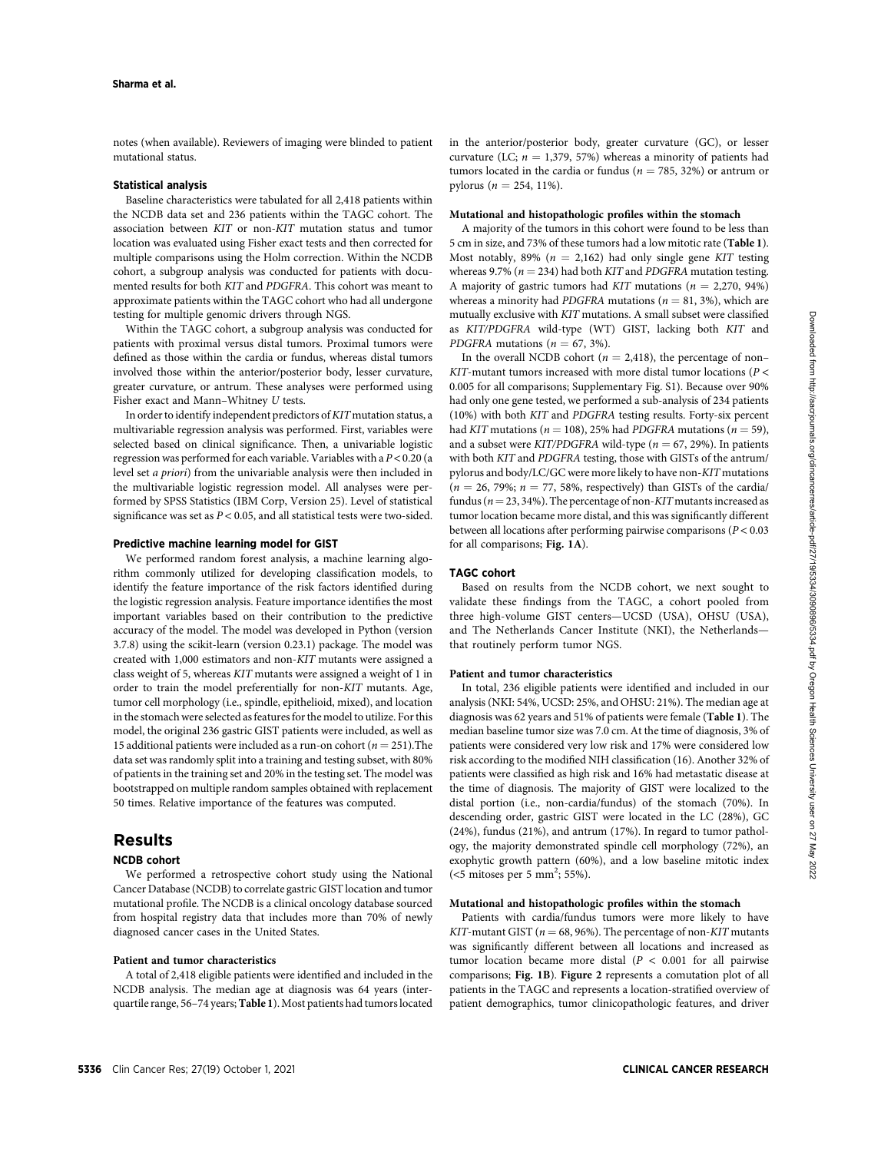notes (when available). Reviewers of imaging were blinded to patient mutational status.

## Statistical analysis

Baseline characteristics were tabulated for all 2,418 patients within the NCDB data set and 236 patients within the TAGC cohort. The association between KIT or non-KIT mutation status and tumor location was evaluated using Fisher exact tests and then corrected for multiple comparisons using the Holm correction. Within the NCDB cohort, a subgroup analysis was conducted for patients with documented results for both KIT and PDGFRA. This cohort was meant to approximate patients within the TAGC cohort who had all undergone testing for multiple genomic drivers through NGS.

Within the TAGC cohort, a subgroup analysis was conducted for patients with proximal versus distal tumors. Proximal tumors were defined as those within the cardia or fundus, whereas distal tumors involved those within the anterior/posterior body, lesser curvature, greater curvature, or antrum. These analyses were performed using Fisher exact and Mann–Whitney U tests.

In order to identify independent predictors of KIT mutation status, a multivariable regression analysis was performed. First, variables were selected based on clinical significance. Then, a univariable logistic regression was performed for each variable. Variables with a  $P < 0.20$  (a level set a priori) from the univariable analysis were then included in the multivariable logistic regression model. All analyses were performed by SPSS Statistics (IBM Corp, Version 25). Level of statistical significance was set as  $P < 0.05$ , and all statistical tests were two-sided.

#### Predictive machine learning model for GIST

We performed random forest analysis, a machine learning algorithm commonly utilized for developing classification models, to identify the feature importance of the risk factors identified during the logistic regression analysis. Feature importance identifies the most important variables based on their contribution to the predictive accuracy of the model. The model was developed in Python (version 3.7.8) using the scikit-learn (version 0.23.1) package. The model was created with 1,000 estimators and non-KIT mutants were assigned a class weight of 5, whereas KIT mutants were assigned a weight of 1 in order to train the model preferentially for non-KIT mutants. Age, tumor cell morphology (i.e., spindle, epithelioid, mixed), and location in the stomach were selected as features for the model to utilize. For this model, the original 236 gastric GIST patients were included, as well as 15 additional patients were included as a run-on cohort ( $n = 251$ ). The data set was randomly split into a training and testing subset, with 80% of patients in the training set and 20% in the testing set. The model was bootstrapped on multiple random samples obtained with replacement 50 times. Relative importance of the features was computed.

## Results

## NCDB cohort

We performed a retrospective cohort study using the National Cancer Database (NCDB) to correlate gastric GIST location and tumor mutational profile. The NCDB is a clinical oncology database sourced from hospital registry data that includes more than 70% of newly diagnosed cancer cases in the United States.

## Patient and tumor characteristics

A total of 2,418 eligible patients were identified and included in the NCDB analysis. The median age at diagnosis was 64 years (interquartile range, 56–74 years; Table 1). Most patients had tumors located in the anterior/posterior body, greater curvature (GC), or lesser curvature (LC;  $n = 1,379, 57\%)$  whereas a minority of patients had tumors located in the cardia or fundus ( $n = 785, 32\%$ ) or antrum or pylorus ( $n = 254, 11\%$ ).

#### Mutational and histopathologic profiles within the stomach

A majority of the tumors in this cohort were found to be less than 5 cm in size, and 73% of these tumors had a low mitotic rate (Table 1). Most notably, 89% ( $n = 2,162$ ) had only single gene KIT testing whereas 9.7% ( $n = 234$ ) had both KIT and PDGFRA mutation testing. A majority of gastric tumors had KIT mutations ( $n = 2,270, 94\%$ ) whereas a minority had PDGFRA mutations ( $n = 81, 3\%$ ), which are mutually exclusive with KIT mutations. A small subset were classified as KIT/PDGFRA wild-type (WT) GIST, lacking both KIT and PDGFRA mutations ( $n = 67, 3\%$ ).

In the overall NCDB cohort ( $n = 2,418$ ), the percentage of non–  $KIT$ -mutant tumors increased with more distal tumor locations ( $P <$ 0.005 for all comparisons; Supplementary Fig. S1). Because over 90% had only one gene tested, we performed a sub-analysis of 234 patients (10%) with both KIT and PDGFRA testing results. Forty-six percent had KIT mutations ( $n = 108$ ), 25% had PDGFRA mutations ( $n = 59$ ), and a subset were KIT/PDGFRA wild-type ( $n = 67, 29\%$ ). In patients with both KIT and PDGFRA testing, those with GISTs of the antrum/ pylorus and body/LC/GC were more likely to have non-KIT mutations  $(n = 26, 79\%; n = 77, 58\%$ , respectively) than GISTs of the cardia/ fundus ( $n = 23, 34\%$ ). The percentage of non-KIT mutants increased as tumor location became more distal, and this was significantly different between all locations after performing pairwise comparisons  $(P < 0.03$ for all comparisons; Fig. 1A).

## TAGC cohort

Based on results from the NCDB cohort, we next sought to validate these findings from the TAGC, a cohort pooled from three high-volume GIST centers—UCSD (USA), OHSU (USA), and The Netherlands Cancer Institute (NKI), the Netherlands that routinely perform tumor NGS.

#### Patient and tumor characteristics

In total, 236 eligible patients were identified and included in our analysis (NKI: 54%, UCSD: 25%, and OHSU: 21%). The median age at diagnosis was 62 years and 51% of patients were female (Table 1). The median baseline tumor size was 7.0 cm. At the time of diagnosis, 3% of patients were considered very low risk and 17% were considered low risk according to the modified NIH classification (16). Another 32% of patients were classified as high risk and 16% had metastatic disease at the time of diagnosis. The majority of GIST were localized to the distal portion (i.e., non-cardia/fundus) of the stomach (70%). In descending order, gastric GIST were located in the LC (28%), GC (24%), fundus (21%), and antrum (17%). In regard to tumor pathology, the majority demonstrated spindle cell morphology (72%), an exophytic growth pattern (60%), and a low baseline mitotic index (<5 mitoses per 5 mm<sup>2</sup>; 55%).

## Mutational and histopathologic profiles within the stomach

Patients with cardia/fundus tumors were more likely to have KIT-mutant GIST ( $n = 68, 96\%$ ). The percentage of non-KIT mutants was significantly different between all locations and increased as tumor location became more distal ( $P < 0.001$  for all pairwise comparisons; Fig. 1B). Figure 2 represents a comutation plot of all patients in the TAGC and represents a location-stratified overview of patient demographics, tumor clinicopathologic features, and driver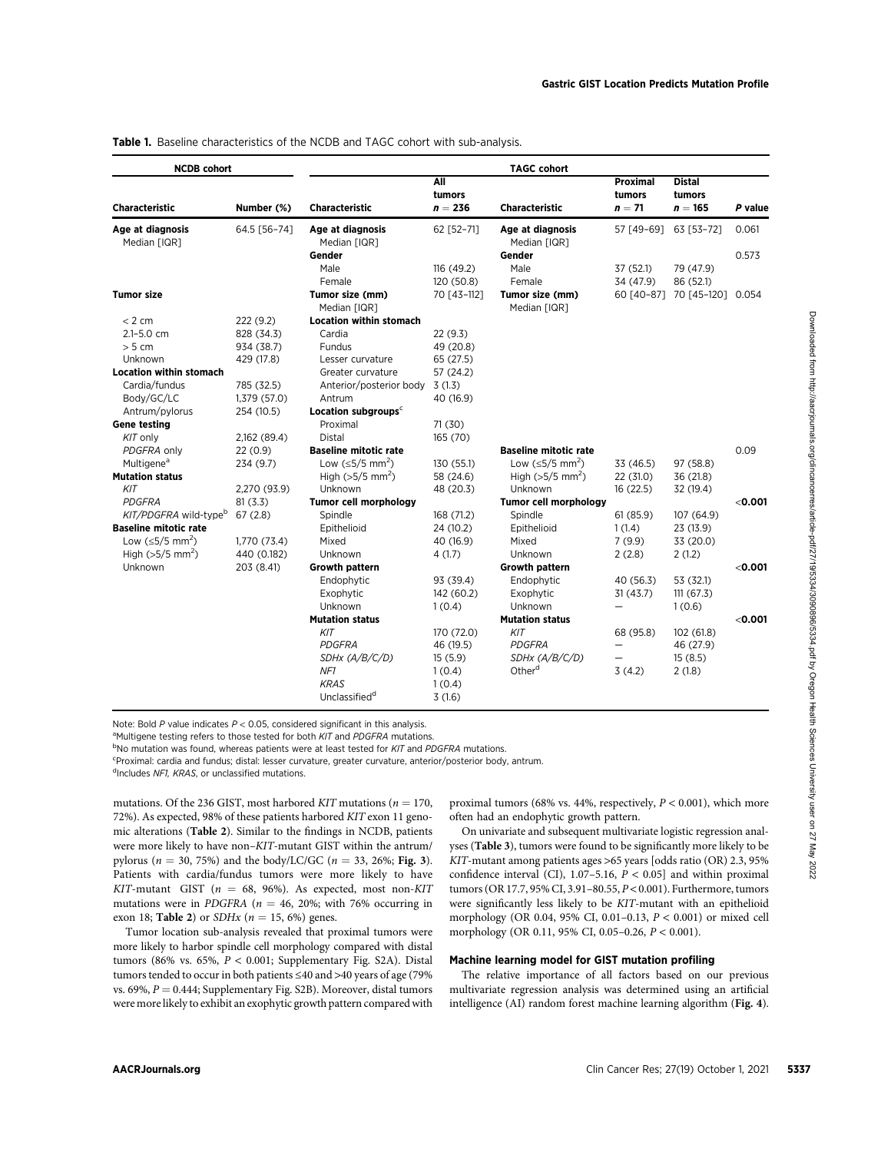## Table 1. Baseline characteristics of the NCDB and TAGC cohort with sub-analysis.

| <b>NCDB</b> cohort                                          |                         |                                                                                                                                                                                                                                                                                                                                                                                                                                                                                                                                                                                                                                                       | All<br>tumors           | <b>TAGC cohort</b>                                                                                                                                                                                                                                                                                                                                                                                                                                                                                                                             | Proximal<br>tumors     | <b>Distal</b><br>tumors                 |           |
|-------------------------------------------------------------|-------------------------|-------------------------------------------------------------------------------------------------------------------------------------------------------------------------------------------------------------------------------------------------------------------------------------------------------------------------------------------------------------------------------------------------------------------------------------------------------------------------------------------------------------------------------------------------------------------------------------------------------------------------------------------------------|-------------------------|------------------------------------------------------------------------------------------------------------------------------------------------------------------------------------------------------------------------------------------------------------------------------------------------------------------------------------------------------------------------------------------------------------------------------------------------------------------------------------------------------------------------------------------------|------------------------|-----------------------------------------|-----------|
| Characteristic                                              | Number (%)              | <b>Characteristic</b>                                                                                                                                                                                                                                                                                                                                                                                                                                                                                                                                                                                                                                 | $n = 236$               | <b>Characteristic</b>                                                                                                                                                                                                                                                                                                                                                                                                                                                                                                                          | $n=71$                 | $n = 165$                               | P value   |
| Age at diagnosis<br>Median [IQR]                            | 64.5 [56-74]            | Age at diagnosis<br>Median [IQR]                                                                                                                                                                                                                                                                                                                                                                                                                                                                                                                                                                                                                      | 62 [52-71]              | Age at diagnosis<br>Median [IQR]                                                                                                                                                                                                                                                                                                                                                                                                                                                                                                               | 57 [49-69]             | 63 [53-72]                              | 0.061     |
|                                                             |                         | Gender                                                                                                                                                                                                                                                                                                                                                                                                                                                                                                                                                                                                                                                |                         | Gender                                                                                                                                                                                                                                                                                                                                                                                                                                                                                                                                         |                        |                                         | 0.573     |
|                                                             |                         | Male                                                                                                                                                                                                                                                                                                                                                                                                                                                                                                                                                                                                                                                  | 116 (49.2)              | Male                                                                                                                                                                                                                                                                                                                                                                                                                                                                                                                                           | 37 (52.1)              | 79 (47.9)                               |           |
|                                                             |                         | Female                                                                                                                                                                                                                                                                                                                                                                                                                                                                                                                                                                                                                                                | 120 (50.8)              | Female                                                                                                                                                                                                                                                                                                                                                                                                                                                                                                                                         | 34 (47.9)              | 86 (52.1)                               |           |
| <b>Tumor size</b>                                           |                         | Tumor size (mm)                                                                                                                                                                                                                                                                                                                                                                                                                                                                                                                                                                                                                                       | 70 [43-112]             | Tumor size (mm)                                                                                                                                                                                                                                                                                                                                                                                                                                                                                                                                |                        | 60 [40-87] 70 [45-120] 0.054            |           |
|                                                             |                         | Median [IQR]                                                                                                                                                                                                                                                                                                                                                                                                                                                                                                                                                                                                                                          |                         | Median [IQR]                                                                                                                                                                                                                                                                                                                                                                                                                                                                                                                                   |                        |                                         |           |
| < 2 cm                                                      | 222 (9.2)               | <b>Location within stomach</b>                                                                                                                                                                                                                                                                                                                                                                                                                                                                                                                                                                                                                        |                         |                                                                                                                                                                                                                                                                                                                                                                                                                                                                                                                                                |                        |                                         |           |
| 2.1-5.0 cm                                                  | 828 (34.3)              | Cardia                                                                                                                                                                                                                                                                                                                                                                                                                                                                                                                                                                                                                                                | 22 (9.3)                |                                                                                                                                                                                                                                                                                                                                                                                                                                                                                                                                                |                        |                                         |           |
| > 5 cm                                                      | 934 (38.7)              | Fundus                                                                                                                                                                                                                                                                                                                                                                                                                                                                                                                                                                                                                                                | 49 (20.8)               |                                                                                                                                                                                                                                                                                                                                                                                                                                                                                                                                                |                        |                                         |           |
| Unknown                                                     | 429 (17.8)              | Lesser curvature                                                                                                                                                                                                                                                                                                                                                                                                                                                                                                                                                                                                                                      | 65 (27.5)               |                                                                                                                                                                                                                                                                                                                                                                                                                                                                                                                                                |                        |                                         |           |
| <b>Location within stomach</b>                              |                         | Greater curvature                                                                                                                                                                                                                                                                                                                                                                                                                                                                                                                                                                                                                                     | 57 (24.2)               |                                                                                                                                                                                                                                                                                                                                                                                                                                                                                                                                                |                        |                                         |           |
| Cardia/fundus                                               | 785 (32.5)              | Anterior/posterior body                                                                                                                                                                                                                                                                                                                                                                                                                                                                                                                                                                                                                               | 3(1.3)                  |                                                                                                                                                                                                                                                                                                                                                                                                                                                                                                                                                |                        |                                         |           |
| Body/GC/LC                                                  | 1,379 (57.0)            | Antrum                                                                                                                                                                                                                                                                                                                                                                                                                                                                                                                                                                                                                                                | 40 (16.9)               |                                                                                                                                                                                                                                                                                                                                                                                                                                                                                                                                                |                        |                                         |           |
| Antrum/pylorus                                              | 254 (10.5)              | Location subgroups <sup>c</sup>                                                                                                                                                                                                                                                                                                                                                                                                                                                                                                                                                                                                                       |                         |                                                                                                                                                                                                                                                                                                                                                                                                                                                                                                                                                |                        |                                         |           |
| <b>Gene testing</b>                                         |                         | Proximal                                                                                                                                                                                                                                                                                                                                                                                                                                                                                                                                                                                                                                              | 71(30)                  |                                                                                                                                                                                                                                                                                                                                                                                                                                                                                                                                                |                        |                                         |           |
| KIT only                                                    | 2,162 (89.4)            | <b>Distal</b>                                                                                                                                                                                                                                                                                                                                                                                                                                                                                                                                                                                                                                         | 165 (70)                |                                                                                                                                                                                                                                                                                                                                                                                                                                                                                                                                                |                        |                                         |           |
| PDGFRA only<br>Multigene <sup>a</sup>                       | 22 (0.9)                | <b>Baseline mitotic rate</b><br>Low (≤5/5 mm <sup>2</sup> )                                                                                                                                                                                                                                                                                                                                                                                                                                                                                                                                                                                           |                         | <b>Baseline mitotic rate</b><br>Low $(\leq 5/5$ mm <sup>2</sup> )                                                                                                                                                                                                                                                                                                                                                                                                                                                                              |                        |                                         | 0.09      |
| <b>Mutation status</b>                                      | 234 (9.7)               | High ( $>5/5$ mm <sup>2</sup> )                                                                                                                                                                                                                                                                                                                                                                                                                                                                                                                                                                                                                       | 130 (55.1)<br>58 (24.6) | High ( $>5/5$ mm <sup>2</sup> )                                                                                                                                                                                                                                                                                                                                                                                                                                                                                                                | 33 (46.5)<br>22 (31.0) | 97 (58.8)<br>36 (21.8)                  |           |
| KIT                                                         |                         | Unknown                                                                                                                                                                                                                                                                                                                                                                                                                                                                                                                                                                                                                                               |                         | Unknown                                                                                                                                                                                                                                                                                                                                                                                                                                                                                                                                        |                        |                                         |           |
| <b>PDGFRA</b>                                               | 2,270 (93.9)<br>81(3.3) | <b>Tumor cell morphology</b>                                                                                                                                                                                                                                                                                                                                                                                                                                                                                                                                                                                                                          | 48 (20.3)               | <b>Tumor cell morphology</b>                                                                                                                                                                                                                                                                                                                                                                                                                                                                                                                   | 16(22.5)               | 32 (19.4)                               | $<$ 0.001 |
| KIT/PDGFRA wild-type <sup>b</sup>                           | 67(2.8)                 | Spindle                                                                                                                                                                                                                                                                                                                                                                                                                                                                                                                                                                                                                                               | 168 (71.2)              | Spindle                                                                                                                                                                                                                                                                                                                                                                                                                                                                                                                                        | 61(85.9)               | 107 (64.9)                              |           |
| <b>Baseline mitotic rate</b>                                |                         | Epithelioid                                                                                                                                                                                                                                                                                                                                                                                                                                                                                                                                                                                                                                           | 24 (10.2)               | Epithelioid                                                                                                                                                                                                                                                                                                                                                                                                                                                                                                                                    | 1(1.4)                 | 23 (13.9)                               |           |
| Low (≤5/5 mm <sup>2</sup> )                                 | 1,770 (73.4)            | Mixed                                                                                                                                                                                                                                                                                                                                                                                                                                                                                                                                                                                                                                                 | 40 (16.9)               | Mixed                                                                                                                                                                                                                                                                                                                                                                                                                                                                                                                                          | 7(9.9)                 | 33 (20.0)                               |           |
| High ( $>5/5$ mm <sup>2</sup> )                             | 440 (0.182)             | Unknown                                                                                                                                                                                                                                                                                                                                                                                                                                                                                                                                                                                                                                               | 4 (1.7)                 | Unknown                                                                                                                                                                                                                                                                                                                                                                                                                                                                                                                                        | 2(2.8)                 | 2(1.2)                                  |           |
| Unknown                                                     | 203 (8.41)              | <b>Growth pattern</b>                                                                                                                                                                                                                                                                                                                                                                                                                                                                                                                                                                                                                                 |                         | Growth pattern                                                                                                                                                                                                                                                                                                                                                                                                                                                                                                                                 |                        |                                         | $<$ 0.001 |
|                                                             |                         | Endophytic                                                                                                                                                                                                                                                                                                                                                                                                                                                                                                                                                                                                                                            | 93 (39.4)               | Endophytic                                                                                                                                                                                                                                                                                                                                                                                                                                                                                                                                     | 40 (56.3)              | 53 (32.1)                               |           |
|                                                             |                         | Exophytic                                                                                                                                                                                                                                                                                                                                                                                                                                                                                                                                                                                                                                             | 142 (60.2)              | Exophytic                                                                                                                                                                                                                                                                                                                                                                                                                                                                                                                                      | 31 (43.7)              | 111(67.3)                               |           |
|                                                             |                         | Unknown                                                                                                                                                                                                                                                                                                                                                                                                                                                                                                                                                                                                                                               | 1(0.4)                  | Unknown                                                                                                                                                                                                                                                                                                                                                                                                                                                                                                                                        |                        | 1(0.6)                                  |           |
|                                                             |                         | <b>Mutation status</b>                                                                                                                                                                                                                                                                                                                                                                                                                                                                                                                                                                                                                                |                         | <b>Mutation status</b>                                                                                                                                                                                                                                                                                                                                                                                                                                                                                                                         |                        |                                         | $<$ 0.001 |
|                                                             |                         | KIT                                                                                                                                                                                                                                                                                                                                                                                                                                                                                                                                                                                                                                                   | 170 (72.0)              | KIT                                                                                                                                                                                                                                                                                                                                                                                                                                                                                                                                            | 68 (95.8)              | 102 (61.8)                              |           |
|                                                             |                         | PDGFRA                                                                                                                                                                                                                                                                                                                                                                                                                                                                                                                                                                                                                                                | 46 (19.5)               | PDGFRA                                                                                                                                                                                                                                                                                                                                                                                                                                                                                                                                         |                        | 46 (27.9)                               |           |
|                                                             |                         | SDHx (A/B/C/D)                                                                                                                                                                                                                                                                                                                                                                                                                                                                                                                                                                                                                                        | 15(5.9)                 | SDHx (A/B/C/D)                                                                                                                                                                                                                                                                                                                                                                                                                                                                                                                                 |                        | 15(8.5)                                 |           |
|                                                             |                         | NF1                                                                                                                                                                                                                                                                                                                                                                                                                                                                                                                                                                                                                                                   | 1(0.4)                  | Other <sup>d</sup>                                                                                                                                                                                                                                                                                                                                                                                                                                                                                                                             | 3(4.2)                 | 2(1.8)                                  |           |
|                                                             |                         | <b>KRAS</b>                                                                                                                                                                                                                                                                                                                                                                                                                                                                                                                                                                                                                                           | 1(0.4)                  |                                                                                                                                                                                                                                                                                                                                                                                                                                                                                                                                                |                        |                                         |           |
|                                                             |                         | Unclassified <sup>d</sup>                                                                                                                                                                                                                                                                                                                                                                                                                                                                                                                                                                                                                             | 3(1.6)                  |                                                                                                                                                                                                                                                                                                                                                                                                                                                                                                                                                |                        |                                         |           |
| <sup>a</sup> Includes NF1, KRAS, or unclassified mutations. |                         | <sup>a</sup> Multigene testing refers to those tested for both <i>KIT</i> and <i>PDGFRA</i> mutations.<br><sup>b</sup> No mutation was found, whereas patients were at least tested for <i>KIT</i> and <i>PDGFRA</i> mutations.<br><sup>c</sup> Proximal: cardia and fundus; distal: lesser curvature, greater curvature, anterior/posterior body, antrum.<br>mutations. Of the 236 GIST, most harbored KIT mutations ( $n = 170$ ,<br>72%). As expected, 98% of these patients harbored KIT exon 11 geno-<br>mic alterations (Table 2). Similar to the findings in NCDB, patients<br>were more likely to have non-KIT-mutant GIST within the antrum/ |                         | proximal tumors (68% vs. 44%, respectively, $P < 0.001$ ), which more<br>often had an endophytic growth pattern.<br>On univariate and subsequent multivariate logistic regression anal-<br>yses (Table 3), tumors were found to be significantly more likely to be                                                                                                                                                                                                                                                                             |                        |                                         |           |
| exon 18; Table 2) or $SDHx$ ( $n = 15, 6\%$ ) genes.        |                         | pylorus ( $n = 30, 75\%$ ) and the body/LC/GC ( $n = 33, 26\%$ ; Fig. 3).<br>Patients with cardia/fundus tumors were more likely to have<br>KIT-mutant GIST ( $n = 68$ , 96%). As expected, most non-KIT<br>mutations were in PDGFRA ( $n = 46$ , 20%; with 76% occurring in<br>Tumor location sub-analysis revealed that proximal tumors were<br>more likely to harbor spindle cell morphology compared with distal<br>tumors (86% vs. 65%, $P < 0.001$ ; Supplementary Fig. S2A). Distal<br>tumors tended to occur in both patients ≤40 and >40 years of age (79%                                                                                   |                         | KIT-mutant among patients ages >65 years [odds ratio (OR) 2.3, 95%<br>confidence interval (CI), 1.07-5.16, $P < 0.05$ ] and within proximal<br>tumors (OR 17.7, 95% CI, 3.91-80.55, P < 0.001). Furthermore, tumors<br>were significantly less likely to be KIT-mutant with an epithelioid<br>morphology (OR 0.04, 95% CI, 0.01-0.13, $P < 0.001$ ) or mixed cell<br>morphology (OR 0.11, 95% CI, 0.05-0.26, P < 0.001).<br>Machine learning model for GIST mutation profiling<br>The relative importance of all factors based on our previous |                        |                                         |           |
|                                                             |                         | vs. 69%, $P = 0.444$ ; Supplementary Fig. S2B). Moreover, distal tumors<br>were more likely to exhibit an exophytic growth pattern compared with                                                                                                                                                                                                                                                                                                                                                                                                                                                                                                      |                         | multivariate regression analysis was determined using an artificial<br>intelligence (AI) random forest machine learning algorithm (Fig. 4).                                                                                                                                                                                                                                                                                                                                                                                                    |                        |                                         |           |
| AACRJournals.org                                            |                         |                                                                                                                                                                                                                                                                                                                                                                                                                                                                                                                                                                                                                                                       |                         |                                                                                                                                                                                                                                                                                                                                                                                                                                                                                                                                                |                        | Clin Cancer Res; 27(19) October 1, 2021 |           |

## Machine learning model for GIST mutation profiling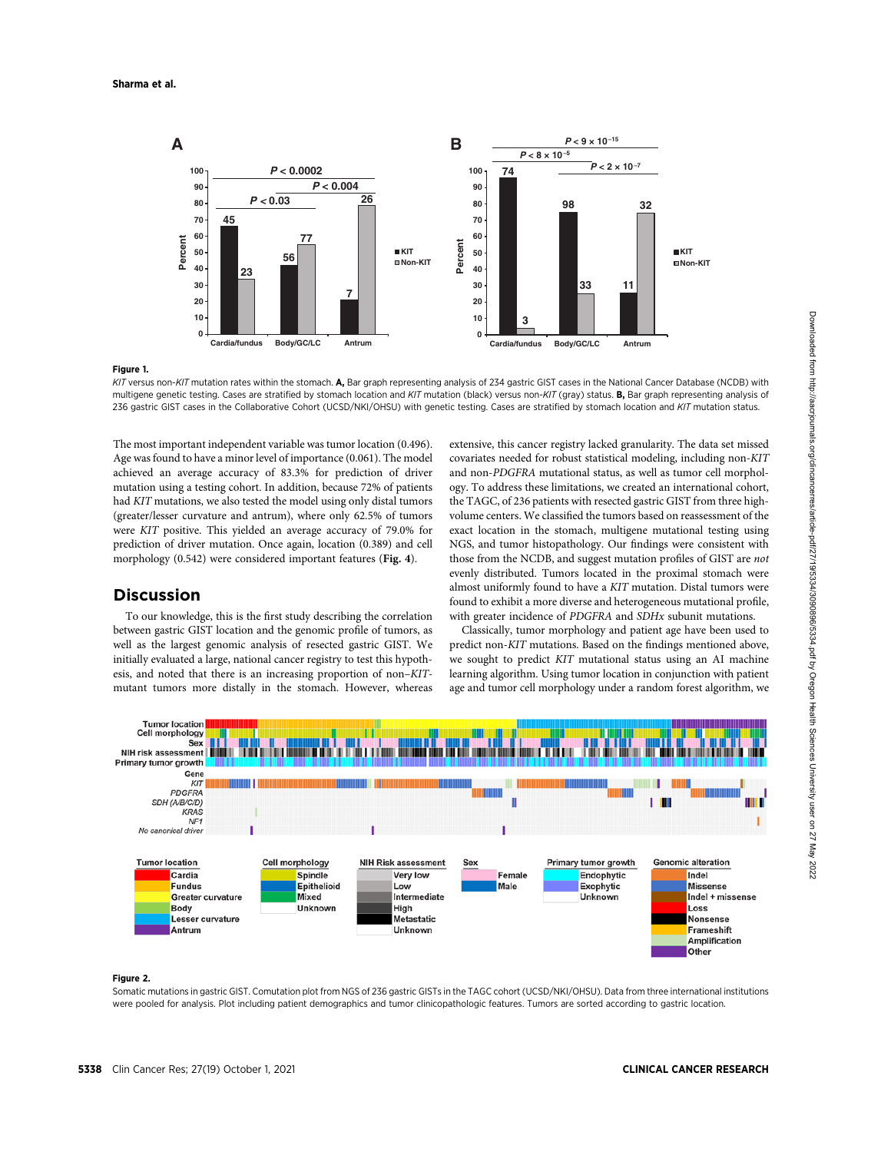

#### Figure 1.

KIT versus non-KIT mutation rates within the stomach. A, Bar graph representing analysis of 234 gastric GIST cases in the National Cancer Database (NCDB) with multigene genetic testing. Cases are stratified by stomach location and KIT mutation (black) versus non-KIT (gray) status. B, Bar graph representing analysis of 236 gastric GIST cases in the Collaborative Cohort (UCSD/NKI/OHSU) with genetic testing. Cases are stratified by stomach location and KIT mutation status.

The most important independent variable was tumor location (0.496). Age was found to have a minor level of importance (0.061). The model achieved an average accuracy of 83.3% for prediction of driver mutation using a testing cohort. In addition, because 72% of patients had KIT mutations, we also tested the model using only distal tumors (greater/lesser curvature and antrum), where only 62.5% of tumors were KIT positive. This yielded an average accuracy of 79.0% for prediction of driver mutation. Once again, location (0.389) and cell morphology (0.542) were considered important features (Fig. 4).

# **Discussion**

To our knowledge, this is the first study describing the correlation between gastric GIST location and the genomic profile of tumors, as well as the largest genomic analysis of resected gastric GIST. We initially evaluated a large, national cancer registry to test this hypothesis, and noted that there is an increasing proportion of non–KITmutant tumors more distally in the stomach. However, whereas

extensive, this cancer registry lacked granularity. The data set missed covariates needed for robust statistical modeling, including non-KIT and non-PDGFRA mutational status, as well as tumor cell morphology. To address these limitations, we created an international cohort, the TAGC, of 236 patients with resected gastric GIST from three highvolume centers. We classified the tumors based on reassessment of the exact location in the stomach, multigene mutational testing using NGS, and tumor histopathology. Our findings were consistent with those from the NCDB, and suggest mutation profiles of GIST are not evenly distributed. Tumors located in the proximal stomach were almost uniformly found to have a KIT mutation. Distal tumors were found to exhibit a more diverse and heterogeneous mutational profile, with greater incidence of PDGFRA and SDHx subunit mutations.

Classically, tumor morphology and patient age have been used to predict non-KIT mutations. Based on the findings mentioned above, we sought to predict KIT mutational status using an AI machine learning algorithm. Using tumor location in conjunction with patient age and tumor cell morphology under a random forest algorithm, we



#### Figure 2.

Somatic mutations in gastric GIST. Comutation plot from NGS of 236 gastric GISTs in the TAGC cohort (UCSD/NKI/OHSU). Data from three international institutions were pooled for analysis. Plot including patient demographics and tumor clinicopathologic features. Tumors are sorted according to gastric location.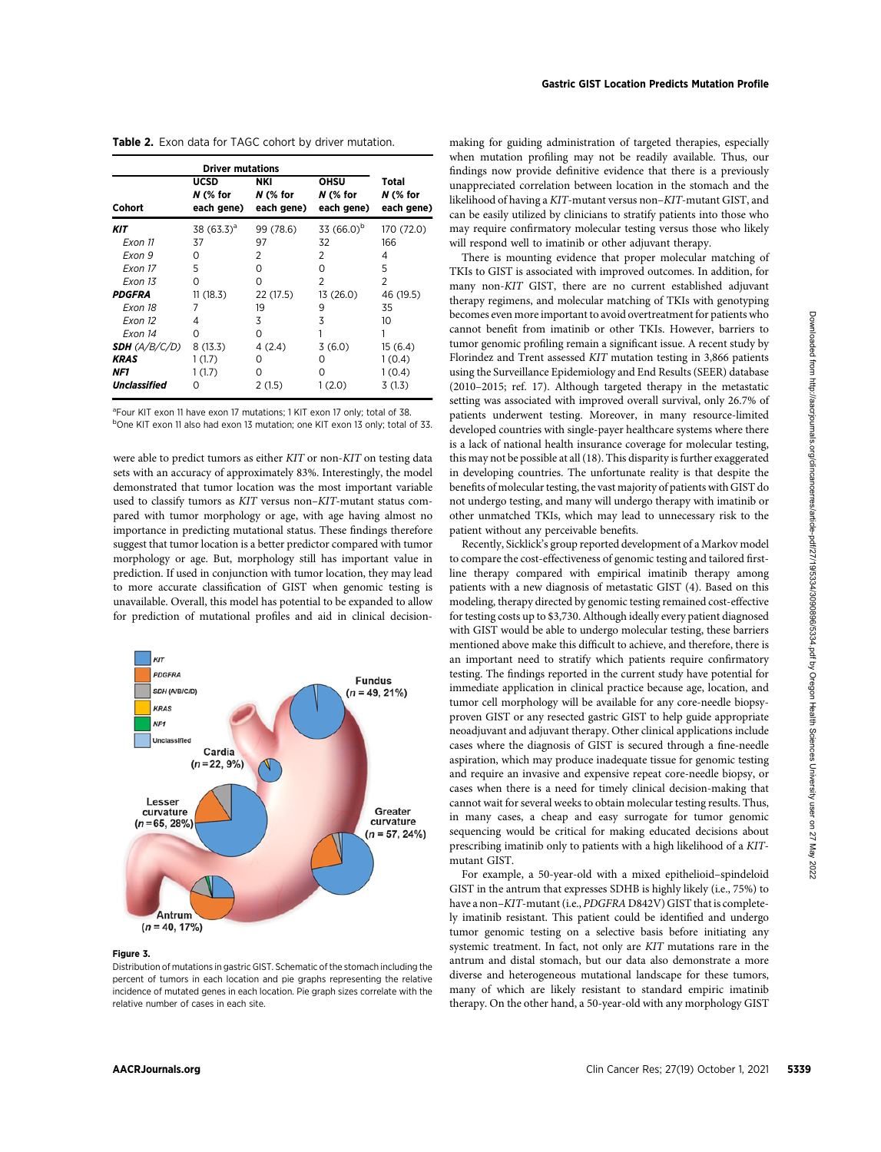| Cohort              | UCSD<br>$N$ (% for<br>each gene) | NKI<br>$N$ (% for<br>each gene) | OHSU<br>$N$ (% for<br>each gene) | Total<br>$N$ (% for<br>each gene) |
|---------------------|----------------------------------|---------------------------------|----------------------------------|-----------------------------------|
| KIT                 | 38 $(63.3)^a$                    | 99 (78.6)                       | 33 (66.0) <sup>b</sup>           | 170 (72.0)                        |
| Exon 11             | 37                               | 97                              | 32                               | 166                               |
| Exon 9              | 0                                | 2                               | 2                                | 4                                 |
| Exon 17             | 5                                | Ο                               | 0                                | 5                                 |
| Exon 13             | Ω                                | $\Omega$                        | 2                                | 2                                 |
| <b>PDGFRA</b>       | 11(18.3)                         | 22 (17.5)                       | 13 (26.0)                        | 46 (19.5)                         |
| Exon 18             |                                  | 19                              | 9                                | 35                                |
| Exon 12             | 4                                | 3                               | 3                                | 10                                |
| Exon 14             | Ω                                | 0                               |                                  |                                   |
| SDH (A/B/C/D)       | 8(13.3)                          | 4(2.4)                          | 3(6.0)                           | 15(6.4)                           |
| KRAS                | 1(1.7)                           | O                               | 0                                | 1(0.4)                            |
| NF1                 | 1(1.7)                           | Ω                               | ი                                | 1(0.4)                            |
| <b>Unclassified</b> | O                                | 2(1.5)                          | 1(2.0)                           | 3(1.3)                            |

Table 2. Exon data for TAGC cohort by driver mutation.

<sup>a</sup>Four KIT exon 11 have exon 17 mutations; 1 KIT exon 17 only; total of 38. <sup>b</sup>One KIT exon 11 also had exon 13 mutation; one KIT exon 13 only; total of 33.

were able to predict tumors as either KIT or non-KIT on testing data sets with an accuracy of approximately 83%. Interestingly, the model demonstrated that tumor location was the most important variable used to classify tumors as KIT versus non–KIT-mutant status compared with tumor morphology or age, with age having almost no importance in predicting mutational status. These findings therefore suggest that tumor location is a better predictor compared with tumor morphology or age. But, morphology still has important value in prediction. If used in conjunction with tumor location, they may lead to more accurate classification of GIST when genomic testing is unavailable. Overall, this model has potential to be expanded to allow for prediction of mutational profiles and aid in clinical decision-



## Figure 3.

Distribution of mutations in gastric GIST. Schematic of the stomach including the percent of tumors in each location and pie graphs representing the relative incidence of mutated genes in each location. Pie graph sizes correlate with the relative number of cases in each site.

making for guiding administration of targeted therapies, especially when mutation profiling may not be readily available. Thus, our findings now provide definitive evidence that there is a previously unappreciated correlation between location in the stomach and the likelihood of having a KIT-mutant versus non–KIT-mutant GIST, and can be easily utilized by clinicians to stratify patients into those who may require confirmatory molecular testing versus those who likely will respond well to imatinib or other adjuvant therapy.

There is mounting evidence that proper molecular matching of TKIs to GIST is associated with improved outcomes. In addition, for many non-KIT GIST, there are no current established adjuvant therapy regimens, and molecular matching of TKIs with genotyping becomes even more important to avoid overtreatment for patients who cannot benefit from imatinib or other TKIs. However, barriers to tumor genomic profiling remain a significant issue. A recent study by Florindez and Trent assessed KIT mutation testing in 3,866 patients using the Surveillance Epidemiology and End Results (SEER) database (2010–2015; ref. 17). Although targeted therapy in the metastatic setting was associated with improved overall survival, only 26.7% of patients underwent testing. Moreover, in many resource-limited developed countries with single-payer healthcare systems where there is a lack of national health insurance coverage for molecular testing, this may not be possible at all (18). This disparity is further exaggerated in developing countries. The unfortunate reality is that despite the benefits of molecular testing, the vast majority of patients with GIST do not undergo testing, and many will undergo therapy with imatinib or other unmatched TKIs, which may lead to unnecessary risk to the patient without any perceivable benefits.

Recently, Sicklick's group reported development of a Markov model to compare the cost-effectiveness of genomic testing and tailored firstline therapy compared with empirical imatinib therapy among patients with a new diagnosis of metastatic GIST (4). Based on this modeling, therapy directed by genomic testing remained cost-effective for testing costs up to \$3,730. Although ideally every patient diagnosed with GIST would be able to undergo molecular testing, these barriers mentioned above make this difficult to achieve, and therefore, there is an important need to stratify which patients require confirmatory testing. The findings reported in the current study have potential for immediate application in clinical practice because age, location, and tumor cell morphology will be available for any core-needle biopsyproven GIST or any resected gastric GIST to help guide appropriate neoadjuvant and adjuvant therapy. Other clinical applications include cases where the diagnosis of GIST is secured through a fine-needle aspiration, which may produce inadequate tissue for genomic testing and require an invasive and expensive repeat core-needle biopsy, or cases when there is a need for timely clinical decision-making that cannot wait for several weeks to obtain molecular testing results. Thus, in many cases, a cheap and easy surrogate for tumor genomic sequencing would be critical for making educated decisions about prescribing imatinib only to patients with a high likelihood of a KITmutant GIST. ANO  $\alpha = 0.02$  October 1, 2021 5339 Download from http://aacricle-particle-particle-particle-particle-particle-particle-particle-particle-particle-particle-particle-particle-particle-particle-particle-particle-particle-pa

For example, a 50-year-old with a mixed epithelioid–spindeloid GIST in the antrum that expresses SDHB is highly likely (i.e., 75%) to have a non–KIT-mutant (i.e., PDGFRA D842V) GIST that is completely imatinib resistant. This patient could be identified and undergo tumor genomic testing on a selective basis before initiating any systemic treatment. In fact, not only are KIT mutations rare in the antrum and distal stomach, but our data also demonstrate a more diverse and heterogeneous mutational landscape for these tumors, many of which are likely resistant to standard empiric imatinib therapy. On the other hand, a 50-year-old with any morphology GIST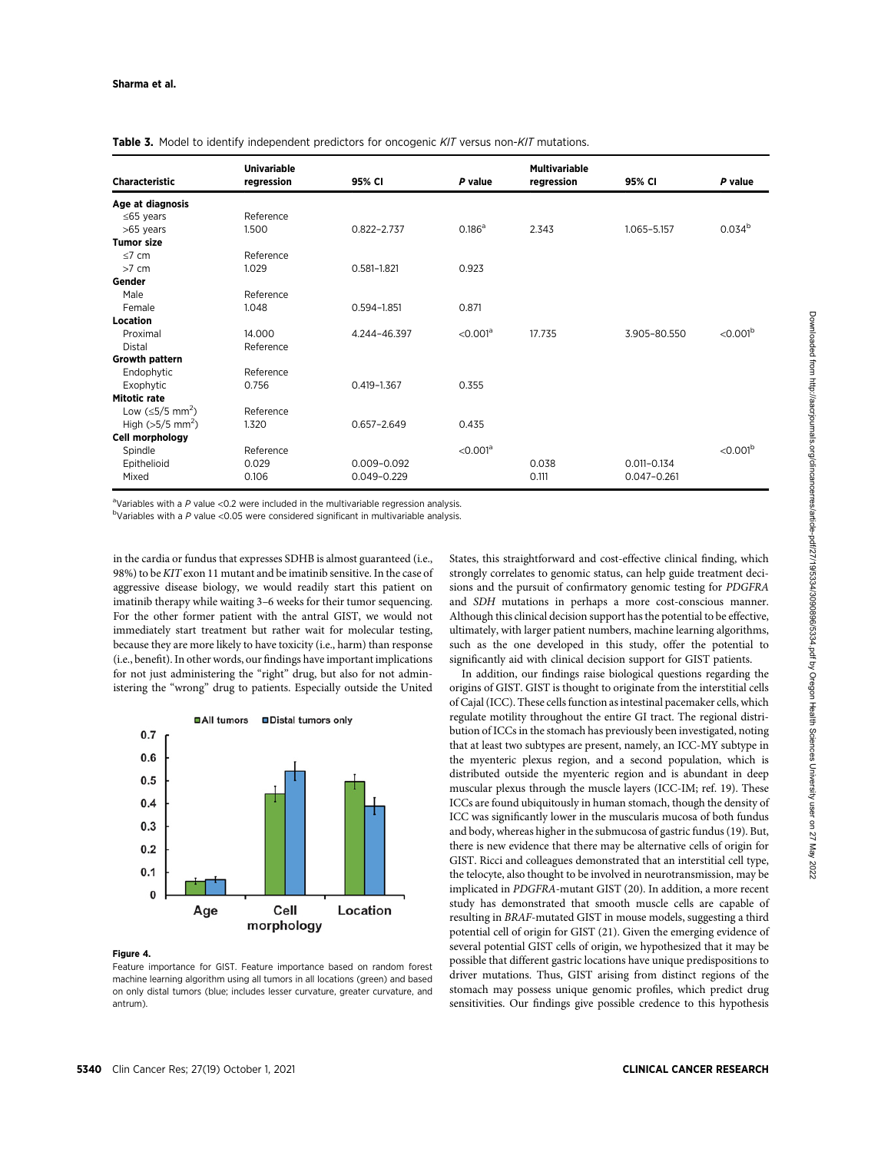|                                 | <b>Univariable</b> |                 |                        | <b>Multivariable</b> |                 |                        |  |
|---------------------------------|--------------------|-----------------|------------------------|----------------------|-----------------|------------------------|--|
| <b>Characteristic</b>           | regression         | 95% CI          | P value                | regression           | 95% CI          | P value                |  |
| Age at diagnosis                |                    |                 |                        |                      |                 |                        |  |
| $\leq$ 65 years                 | Reference          |                 |                        |                      |                 |                        |  |
| >65 years                       | 1.500              | $0.822 - 2.737$ | 0.186 <sup>a</sup>     | 2.343                | 1.065-5.157     | 0.034 <sup>b</sup>     |  |
| <b>Tumor size</b>               |                    |                 |                        |                      |                 |                        |  |
| $\leq 7$ cm                     | Reference          |                 |                        |                      |                 |                        |  |
| $>7$ cm                         | 1.029              | $0.581 - 1.821$ | 0.923                  |                      |                 |                        |  |
| Gender                          |                    |                 |                        |                      |                 |                        |  |
| Male                            | Reference          |                 |                        |                      |                 |                        |  |
| Female                          | 1.048              | $0.594 - 1.851$ | 0.871                  |                      |                 |                        |  |
| <b>Location</b>                 |                    |                 |                        |                      |                 |                        |  |
| Proximal                        | 14.000             | 4.244-46.397    | $<$ 0.001 <sup>a</sup> | 17.735               | 3.905-80.550    | $<$ 0.001 <sup>b</sup> |  |
| <b>Distal</b>                   | Reference          |                 |                        |                      |                 |                        |  |
| <b>Growth pattern</b>           |                    |                 |                        |                      |                 |                        |  |
| Endophytic                      | Reference          |                 |                        |                      |                 |                        |  |
| Exophytic                       | 0.756              | $0.419 - 1.367$ | 0.355                  |                      |                 |                        |  |
| Mitotic rate                    |                    |                 |                        |                      |                 |                        |  |
| Low (≤5/5 mm <sup>2</sup> )     | Reference          |                 |                        |                      |                 |                        |  |
| High ( $>5/5$ mm <sup>2</sup> ) | 1.320              | $0.657 - 2.649$ | 0.435                  |                      |                 |                        |  |
| Cell morphology                 |                    |                 |                        |                      |                 |                        |  |
| Spindle                         | Reference          |                 | $<$ 0.001 <sup>a</sup> |                      |                 | $<$ 0.001 <sup>b</sup> |  |
| Epithelioid                     | 0.029              | 0.009-0.092     |                        | 0.038                | $0.011 - 0.134$ |                        |  |
| Mixed                           | 0.106              | $0.049 - 0.229$ |                        | 0.111                | $0.047 - 0.261$ |                        |  |

Table 3. Model to identify independent predictors for oncogenic KIT versus non-KIT mutations.

<sup>a</sup>Variables with a P value < 0.2 were included in the multivariable regression analysis.

 $b$ Variables with a P value <0.05 were considered significant in multivariable analysis.

in the cardia or fundus that expresses SDHB is almost guaranteed (i.e., 98%) to be KIT exon 11 mutant and be imatinib sensitive. In the case of aggressive disease biology, we would readily start this patient on imatinib therapy while waiting 3–6 weeks for their tumor sequencing. For the other former patient with the antral GIST, we would not immediately start treatment but rather wait for molecular testing, because they are more likely to have toxicity (i.e., harm) than response (i.e., benefit). In other words, our findings have important implications for not just administering the "right" drug, but also for not administering the "wrong" drug to patients. Especially outside the United



#### Figure 4.

Feature importance for GIST. Feature importance based on random forest machine learning algorithm using all tumors in all locations (green) and based on only distal tumors (blue; includes lesser curvature, greater curvature, and antrum).

States, this straightforward and cost-effective clinical finding, which strongly correlates to genomic status, can help guide treatment decisions and the pursuit of confirmatory genomic testing for PDGFRA and SDH mutations in perhaps a more cost-conscious manner. Although this clinical decision support has the potential to be effective, ultimately, with larger patient numbers, machine learning algorithms, such as the one developed in this study, offer the potential to significantly aid with clinical decision support for GIST patients.

In addition, our findings raise biological questions regarding the origins of GIST. GIST is thought to originate from the interstitial cells of Cajal (ICC). These cells function as intestinal pacemaker cells, which regulate motility throughout the entire GI tract. The regional distribution of ICCs in the stomach has previously been investigated, noting that at least two subtypes are present, namely, an ICC-MY subtype in the myenteric plexus region, and a second population, which is distributed outside the myenteric region and is abundant in deep muscular plexus through the muscle layers (ICC-IM; ref. 19). These ICCs are found ubiquitously in human stomach, though the density of ICC was significantly lower in the muscularis mucosa of both fundus and body, whereas higher in the submucosa of gastric fundus (19). But, there is new evidence that there may be alternative cells of origin for GIST. Ricci and colleagues demonstrated that an interstitial cell type, the telocyte, also thought to be involved in neurotransmission, may be implicated in PDGFRA-mutant GIST (20). In addition, a more recent study has demonstrated that smooth muscle cells are capable of resulting in BRAF-mutated GIST in mouse models, suggesting a third potential cell of origin for GIST (21). Given the emerging evidence of several potential GIST cells of origin, we hypothesized that it may be possible that different gastric locations have unique predispositions to driver mutations. Thus, GIST arising from distinct regions of the stomach may possess unique genomic profiles, which predict drug sensitivities. Our findings give possible credence to this hypothesis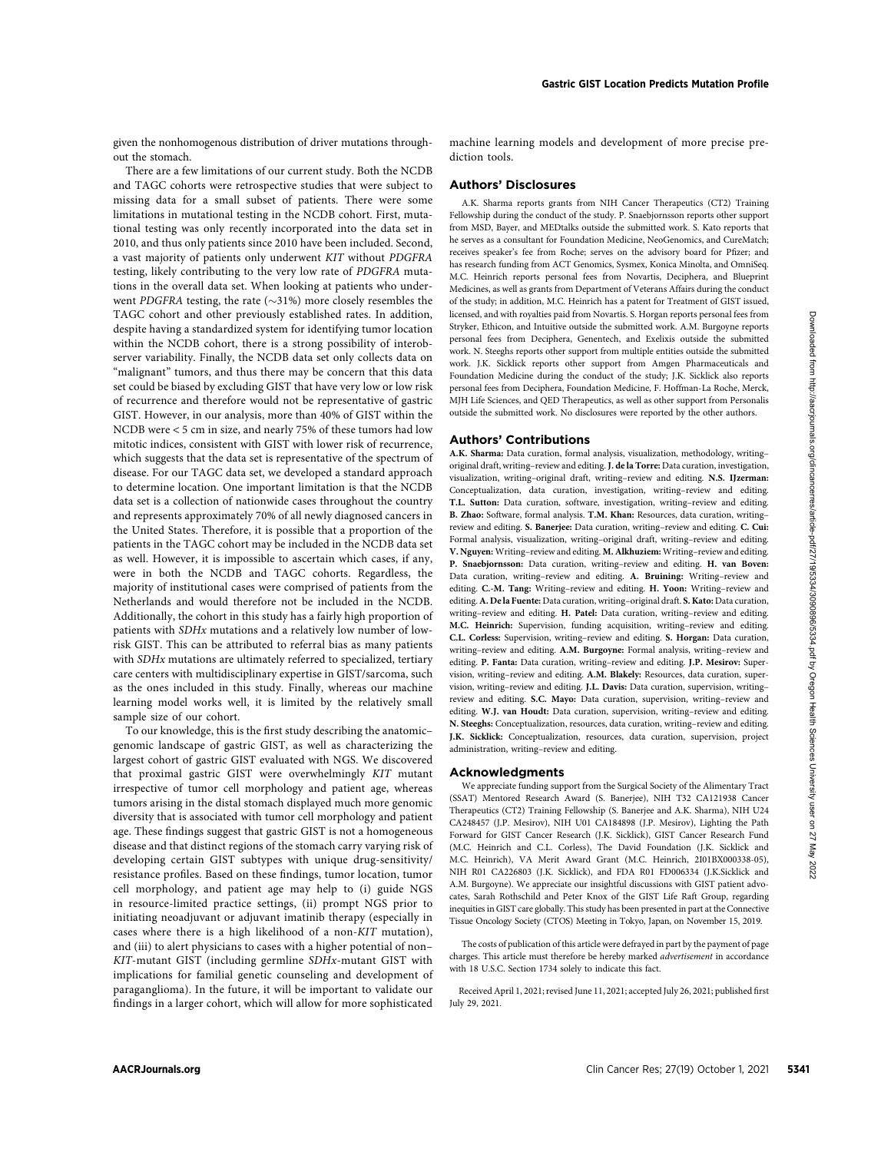given the nonhomogenous distribution of driver mutations throughout the stomach.

There are a few limitations of our current study. Both the NCDB and TAGC cohorts were retrospective studies that were subject to missing data for a small subset of patients. There were some limitations in mutational testing in the NCDB cohort. First, mutational testing was only recently incorporated into the data set in 2010, and thus only patients since 2010 have been included. Second, a vast majority of patients only underwent KIT without PDGFRA testing, likely contributing to the very low rate of PDGFRA mutations in the overall data set. When looking at patients who underwent PDGFRA testing, the rate  $(\sim)31\%$  more closely resembles the TAGC cohort and other previously established rates. In addition, despite having a standardized system for identifying tumor location within the NCDB cohort, there is a strong possibility of interobserver variability. Finally, the NCDB data set only collects data on "malignant" tumors, and thus there may be concern that this data set could be biased by excluding GIST that have very low or low risk of recurrence and therefore would not be representative of gastric GIST. However, in our analysis, more than 40% of GIST within the NCDB were < 5 cm in size, and nearly 75% of these tumors had low mitotic indices, consistent with GIST with lower risk of recurrence, which suggests that the data set is representative of the spectrum of disease. For our TAGC data set, we developed a standard approach to determine location. One important limitation is that the NCDB data set is a collection of nationwide cases throughout the country and represents approximately 70% of all newly diagnosed cancers in the United States. Therefore, it is possible that a proportion of the patients in the TAGC cohort may be included in the NCDB data set as well. However, it is impossible to ascertain which cases, if any, were in both the NCDB and TAGC cohorts. Regardless, the majority of institutional cases were comprised of patients from the Netherlands and would therefore not be included in the NCDB. Additionally, the cohort in this study has a fairly high proportion of patients with SDHx mutations and a relatively low number of lowrisk GIST. This can be attributed to referral bias as many patients with SDHx mutations are ultimately referred to specialized, tertiary care centers with multidisciplinary expertise in GIST/sarcoma, such as the ones included in this study. Finally, whereas our machine learning model works well, it is limited by the relatively small sample size of our cohort. AACR of the time in the statistics are not the statistics are not the statistical points of the statistical points of the statistical points of the statistics are not the statistics and the statistics are not the statis

To our knowledge, this is the first study describing the anatomic– genomic landscape of gastric GIST, as well as characterizing the largest cohort of gastric GIST evaluated with NGS. We discovered that proximal gastric GIST were overwhelmingly KIT mutant irrespective of tumor cell morphology and patient age, whereas tumors arising in the distal stomach displayed much more genomic diversity that is associated with tumor cell morphology and patient age. These findings suggest that gastric GIST is not a homogeneous disease and that distinct regions of the stomach carry varying risk of developing certain GIST subtypes with unique drug-sensitivity/ resistance profiles. Based on these findings, tumor location, tumor cell morphology, and patient age may help to (i) guide NGS in resource-limited practice settings, (ii) prompt NGS prior to initiating neoadjuvant or adjuvant imatinib therapy (especially in cases where there is a high likelihood of a non-KIT mutation), and (iii) to alert physicians to cases with a higher potential of non– KIT-mutant GIST (including germline SDHx-mutant GIST with implications for familial genetic counseling and development of paraganglioma). In the future, it will be important to validate our findings in a larger cohort, which will allow for more sophisticated machine learning models and development of more precise prediction tools.

## Authors' Disclosures

A.K. Sharma reports grants from NIH Cancer Therapeutics (CT2) Training Fellowship during the conduct of the study. P. Snaebjornsson reports other support from MSD, Bayer, and MEDtalks outside the submitted work. S. Kato reports that he serves as a consultant for Foundation Medicine, NeoGenomics, and CureMatch; receives speaker's fee from Roche; serves on the advisory board for Pfizer; and has research funding from ACT Genomics, Sysmex, Konica Minolta, and OmniSeq. M.C. Heinrich reports personal fees from Novartis, Deciphera, and Blueprint Medicines, as well as grants from Department of Veterans Affairs during the conduct of the study; in addition, M.C. Heinrich has a patent for Treatment of GIST issued, licensed, and with royalties paid from Novartis. S. Horgan reports personal fees from Stryker, Ethicon, and Intuitive outside the submitted work. A.M. Burgoyne reports personal fees from Deciphera, Genentech, and Exelixis outside the submitted work. N. Steeghs reports other support from multiple entities outside the submitted work. J.K. Sicklick reports other support from Amgen Pharmaceuticals and Foundation Medicine during the conduct of the study; J.K. Sicklick also reports personal fees from Deciphera, Foundation Medicine, F. Hoffman-La Roche, Merck, MJH Life Sciences, and QED Therapeutics, as well as other support from Personalis outside the submitted work. No disclosures were reported by the other authors.

#### Authors' Contributions

A.K. Sharma: Data curation, formal analysis, visualization, methodology, writing– original draft, writing–review and editing. J. de la Torre: Data curation, investigation, visualization, writing–original draft, writing–review and editing. N.S. IJzerman: Conceptualization, data curation, investigation, writing–review and editing. T.L. Sutton: Data curation, software, investigation, writing–review and editing. B. Zhao: Software, formal analysis. T.M. Khan: Resources, data curation, writing– review and editing. S. Banerjee: Data curation, writing–review and editing. C. Cui: Formal analysis, visualization, writing–original draft, writing–review and editing. V. Nguyen: Writing–review and editing. M. Alkhuziem: Writing–review and editing. P. Snaebjornsson: Data curation, writing–review and editing. H. van Boven: Data curation, writing–review and editing. A. Bruining: Writing–review and editing. C.-M. Tang: Writing–review and editing. H. Yoon: Writing–review and editing.A. De la Fuente: Data curation, writing–original draft. S. Kato: Data curation, writing–review and editing. H. Patel: Data curation, writing–review and editing. M.C. Heinrich: Supervision, funding acquisition, writing–review and editing. C.L. Corless: Supervision, writing–review and editing. S. Horgan: Data curation, writing–review and editing. A.M. Burgoyne: Formal analysis, writing–review and editing. P. Fanta: Data curation, writing–review and editing. J.P. Mesirov: Supervision, writing–review and editing. A.M. Blakely: Resources, data curation, supervision, writing–review and editing. J.L. Davis: Data curation, supervision, writing– review and editing. S.C. Mayo: Data curation, supervision, writing–review and editing. W.J. van Houdt: Data curation, supervision, writing–review and editing. N. Steeghs: Conceptualization, resources, data curation, writing–review and editing. J.K. Sicklick: Conceptualization, resources, data curation, supervision, project administration, writing–review and editing.

## Acknowledgments

We appreciate funding support from the Surgical Society of the Alimentary Tract (SSAT) Mentored Research Award (S. Banerjee), NIH T32 CA121938 Cancer Therapeutics (CT2) Training Fellowship (S. Banerjee and A.K. Sharma), NIH U24 CA248457 (J.P. Mesirov), NIH U01 CA184898 (J.P. Mesirov), Lighting the Path Forward for GIST Cancer Research (J.K. Sicklick), GIST Cancer Research Fund (M.C. Heinrich and C.L. Corless), The David Foundation (J.K. Sicklick and M.C. Heinrich), VA Merit Award Grant (M.C. Heinrich, 2I01BX000338-05), NIH R01 CA226803 (J.K. Sicklick), and FDA R01 FD006334 (J.K.Sicklick and A.M. Burgoyne). We appreciate our insightful discussions with GIST patient advocates, Sarah Rothschild and Peter Knox of the GIST Life Raft Group, regarding inequities in GIST care globally. This study has been presented in part at the Connective Tissue Oncology Society (CTOS) Meeting in Tokyo, Japan, on November 15, 2019.

The costs of publication of this article were defrayed in part by the payment of page charges. This article must therefore be hereby marked advertisement in accordance with 18 U.S.C. Section 1734 solely to indicate this fact.

Received April 1, 2021; revised June 11, 2021; accepted July 26, 2021; published first July 29, 2021.